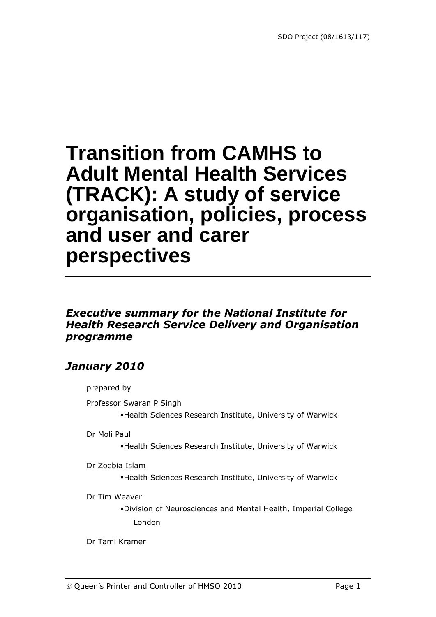# **Transition from CAMHS to Adult Mental Health Services (TRACK): A study of service organisation, policies, process and user and carer perspectives**

### *Executive summary for the National Institute for Health Research Service Delivery and Organisation programme*

### *January 2010*

prepared by

Professor Swaran P Singh

Health Sciences Research Institute, University of Warwick

Dr Moli Paul

Health Sciences Research Institute, University of Warwick

Dr Zoebia Islam

Health Sciences Research Institute, University of Warwick

Dr Tim Weaver

Division of Neurosciences and Mental Health, Imperial College London

Dr Tami Kramer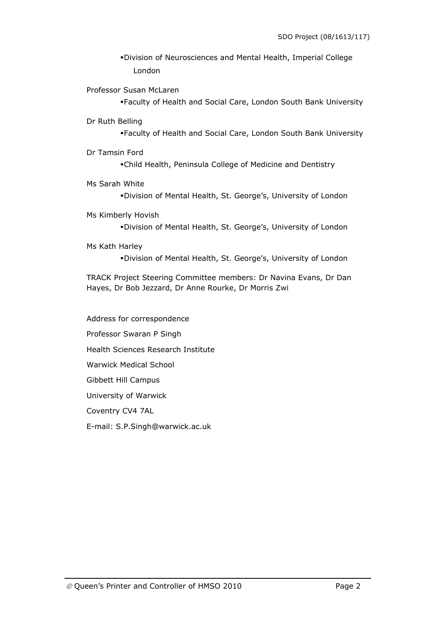Division of Neurosciences and Mental Health, Imperial College London

Professor Susan McLaren

Faculty of Health and Social Care, London South Bank University

Dr Ruth Belling

Faculty of Health and Social Care, London South Bank University

- Dr Tamsin Ford Child Health, Peninsula College of Medicine and Dentistry
- Ms Sarah White

Division of Mental Health, St. George's, University of London

Ms Kimberly Hovish

Division of Mental Health, St. George's, University of London

Ms Kath Harley

Division of Mental Health, St. George's, University of London

TRACK Project Steering Committee members: Dr Navina Evans, Dr Dan Hayes, Dr Bob Jezzard, Dr Anne Rourke, Dr Morris Zwi

Address for correspondence Professor Swaran P Singh Health Sciences Research Institute Warwick Medical School Gibbett Hill Campus University of Warwick Coventry CV4 7AL E-mail: S.P.Singh@warwick.ac.uk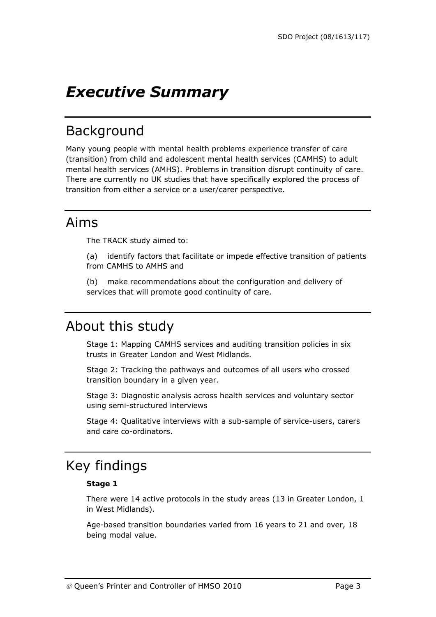## *Executive Summary*

## Background

Many young people with mental health problems experience transfer of care (transition) from child and adolescent mental health services (CAMHS) to adult mental health services (AMHS). Problems in transition disrupt continuity of care. There are currently no UK studies that have specifically explored the process of transition from either a service or a user/carer perspective.

### Aims

The TRACK study aimed to:

(a) identify factors that facilitate or impede effective transition of patients from CAMHS to AMHS and

(b) make recommendations about the configuration and delivery of services that will promote good continuity of care.

## About this study

Stage 1: Mapping CAMHS services and auditing transition policies in six trusts in Greater London and West Midlands.

Stage 2: Tracking the pathways and outcomes of all users who crossed transition boundary in a given year.

Stage 3: Diagnostic analysis across health services and voluntary sector using semi-structured interviews

Stage 4: Qualitative interviews with a sub-sample of service-users, carers and care co-ordinators.

## Key findings

#### **Stage 1**

There were 14 active protocols in the study areas (13 in Greater London, 1 in West Midlands).

Age-based transition boundaries varied from 16 years to 21 and over, 18 being modal value.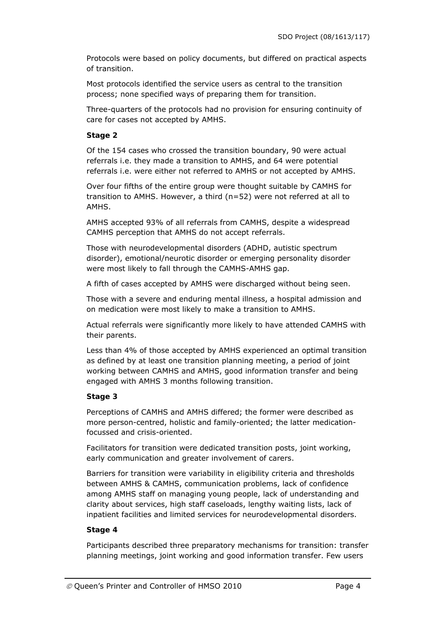Protocols were based on policy documents, but differed on practical aspects of transition.

Most protocols identified the service users as central to the transition process; none specified ways of preparing them for transition.

Three-quarters of the protocols had no provision for ensuring continuity of care for cases not accepted by AMHS.

### **Stage 2**

Of the 154 cases who crossed the transition boundary, 90 were actual referrals i.e. they made a transition to AMHS, and 64 were potential referrals i.e. were either not referred to AMHS or not accepted by AMHS.

Over four fifths of the entire group were thought suitable by CAMHS for transition to AMHS. However, a third (n=52) were not referred at all to AMHS.

AMHS accepted 93% of all referrals from CAMHS, despite a widespread CAMHS perception that AMHS do not accept referrals.

Those with neurodevelopmental disorders (ADHD, autistic spectrum disorder), emotional/neurotic disorder or emerging personality disorder were most likely to fall through the CAMHS-AMHS gap.

A fifth of cases accepted by AMHS were discharged without being seen.

Those with a severe and enduring mental illness, a hospital admission and on medication were most likely to make a transition to AMHS.

Actual referrals were significantly more likely to have attended CAMHS with their parents.

Less than 4% of those accepted by AMHS experienced an optimal transition as defined by at least one transition planning meeting, a period of joint working between CAMHS and AMHS, good information transfer and being engaged with AMHS 3 months following transition.

#### **Stage 3**

Perceptions of CAMHS and AMHS differed; the former were described as more person-centred, holistic and family-oriented; the latter medicationfocussed and crisis-oriented.

Facilitators for transition were dedicated transition posts, joint working, early communication and greater involvement of carers.

Barriers for transition were variability in eligibility criteria and thresholds between AMHS & CAMHS, communication problems, lack of confidence among AMHS staff on managing young people, lack of understanding and clarity about services, high staff caseloads, lengthy waiting lists, lack of inpatient facilities and limited services for neurodevelopmental disorders.

#### **Stage 4**

Participants described three preparatory mechanisms for transition: transfer planning meetings, joint working and good information transfer. Few users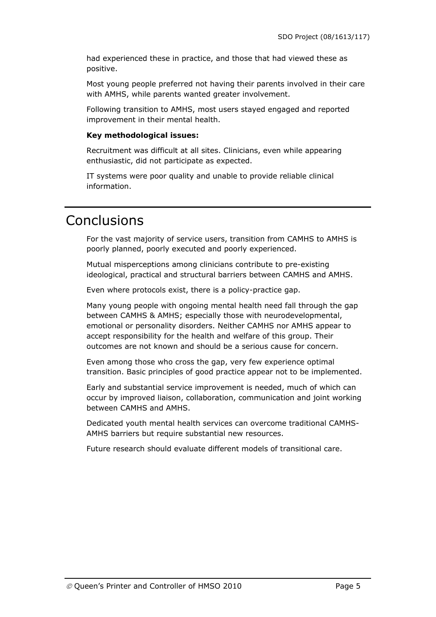had experienced these in practice, and those that had viewed these as positive.

Most young people preferred not having their parents involved in their care with AMHS, while parents wanted greater involvement.

Following transition to AMHS, most users stayed engaged and reported improvement in their mental health.

#### **Key methodological issues:**

Recruitment was difficult at all sites. Clinicians, even while appearing enthusiastic, did not participate as expected.

IT systems were poor quality and unable to provide reliable clinical information.

### Conclusions

For the vast majority of service users, transition from CAMHS to AMHS is poorly planned, poorly executed and poorly experienced.

Mutual misperceptions among clinicians contribute to pre-existing ideological, practical and structural barriers between CAMHS and AMHS.

Even where protocols exist, there is a policy-practice gap.

Many young people with ongoing mental health need fall through the gap between CAMHS & AMHS; especially those with neurodevelopmental, emotional or personality disorders. Neither CAMHS nor AMHS appear to accept responsibility for the health and welfare of this group. Their outcomes are not known and should be a serious cause for concern.

Even among those who cross the gap, very few experience optimal transition. Basic principles of good practice appear not to be implemented.

Early and substantial service improvement is needed, much of which can occur by improved liaison, collaboration, communication and joint working between CAMHS and AMHS.

Dedicated youth mental health services can overcome traditional CAMHS-AMHS barriers but require substantial new resources.

Future research should evaluate different models of transitional care.